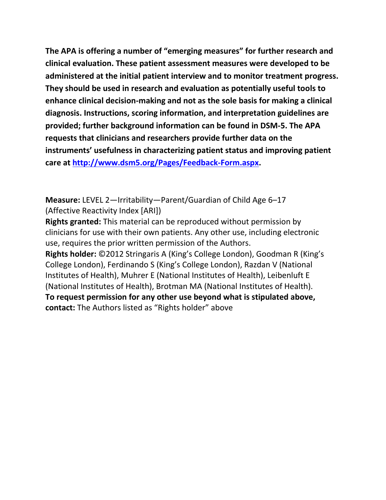**The APA is offering a number of "emerging measures" for further research and clinical evaluation. These patient assessment measures were developed to be administered at the initial patient interview and to monitor treatment progress. They should be used in research and evaluation as potentially useful tools to enhance clinical decision-making and not as the sole basis for making a clinical diagnosis. Instructions, scoring information, and interpretation guidelines are provided; further background information can be found in DSM-5. The APA requests that clinicians and researchers provide further data on the instruments' usefulness in characterizing patient status and improving patient care at [http://www.dsm5.org/Pages/Feedback-Form.aspx.](http://www.dsm5.org/Pages/Feedback-Form.aspx)**

**Measure:** LEVEL 2—Irritability—Parent/Guardian of Child Age 6–17 (Affective Reactivity Index [ARI])

**Rights granted:** This material can be reproduced without permission by clinicians for use with their own patients. Any other use, including electronic use, requires the prior written permission of the Authors. **Rights holder:** ©2012 Stringaris A (King's College London), Goodman R (King's College London), Ferdinando S (King's College London), Razdan V (National Institutes of Health), Muhrer E (National Institutes of Health), Leibenluft E (National Institutes of Health), Brotman MA (National Institutes of Health). **To request permission for any other use beyond what is stipulated above, contact:** The Authors listed as "Rights holder" above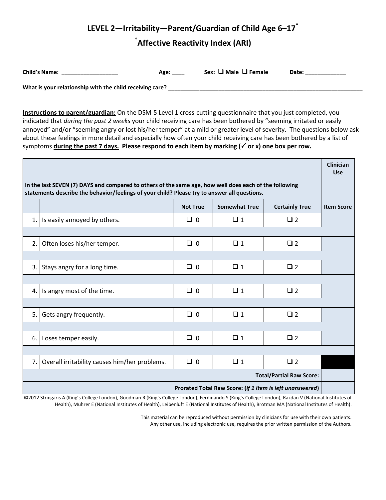## **LEVEL 2—Irritability—Parent/Guardian of Child Age 6–17\* \* Affective Reactivity Index (ARI)**

| <b>Child's Name:</b>                                     | Age: | Sex: $\Box$ Male $\Box$ Female | Date: |  |  |  |  |
|----------------------------------------------------------|------|--------------------------------|-------|--|--|--|--|
| What is your relationship with the child receiving care? |      |                                |       |  |  |  |  |

**Instructions to parent/guardian:** On the DSM-5 Level 1 cross-cutting questionnaire that you just completed, you indicated that *during the past 2 weeks* your child receiving care has been bothered by "seeming irritated or easily annoyed" and/or "seeming angry or lost his/her temper" at a mild or greater level of severity. The questions below ask about these feelings in more detail and especially how often your child receiving care has been bothered by a list of symptoms **during the past 7 days. Please respond to each item by marking ( or x) one box per row.** 

|                                                                                                                                                                                                        |                                               |                 |                      |                       | <b>Clinician</b><br><b>Use</b> |
|--------------------------------------------------------------------------------------------------------------------------------------------------------------------------------------------------------|-----------------------------------------------|-----------------|----------------------|-----------------------|--------------------------------|
| In the last SEVEN (7) DAYS and compared to others of the same age, how well does each of the following<br>statements describe the behavior/feelings of your child? Please try to answer all questions. |                                               |                 |                      |                       |                                |
|                                                                                                                                                                                                        |                                               | <b>Not True</b> | <b>Somewhat True</b> | <b>Certainly True</b> | <b>Item Score</b>              |
|                                                                                                                                                                                                        | 1. Is easily annoyed by others.               | $\Box$ 0        | $\Box$ 1             | $\Box$ 2              |                                |
|                                                                                                                                                                                                        |                                               |                 |                      |                       |                                |
| 2.1                                                                                                                                                                                                    | Often loses his/her temper.                   | $\Box$ 0        | $\Box$ 1             | $\Box$ 2              |                                |
|                                                                                                                                                                                                        |                                               |                 |                      |                       |                                |
|                                                                                                                                                                                                        | 3. Stays angry for a long time.               | $\Box$ 0        | $\Box$ 1             | $\Box$ 2              |                                |
|                                                                                                                                                                                                        |                                               |                 |                      |                       |                                |
|                                                                                                                                                                                                        | 4. Is angry most of the time.                 | $\Box$ 0        | $\Box$ 1             | $\Box$ 2              |                                |
|                                                                                                                                                                                                        |                                               |                 |                      |                       |                                |
| 5.1                                                                                                                                                                                                    | Gets angry frequently.                        | $\Box$ 0        | $\Box$ 1             | $\Box$ 2              |                                |
|                                                                                                                                                                                                        |                                               |                 |                      |                       |                                |
| 6.1                                                                                                                                                                                                    | Loses temper easily.                          | $\Box$ 0        | $\Box$ 1             | $\Box$ 2              |                                |
|                                                                                                                                                                                                        |                                               |                 |                      |                       |                                |
| 7.1                                                                                                                                                                                                    | Overall irritability causes him/her problems. | $\Box$ 0        | $\Box$ 1             | $\Box$ 2              |                                |
| <b>Total/Partial Raw Score:</b>                                                                                                                                                                        |                                               |                 |                      |                       |                                |
| Prorated Total Raw Score: (if 1 item is left unanswered)                                                                                                                                               |                                               |                 |                      |                       |                                |

©2012 Stringaris A (King's College London), Goodman R (King's College London), Ferdinando S (King's College London), Razdan V (National Institutes of Health), Muhrer E (National Institutes of Health), Leibenluft E (National Institutes of Health), Brotman MA (National Institutes of Health).

> This material can be reproduced without permission by clinicians for use with their own patients. Any other use, including electronic use, requires the prior written permission of the Authors.